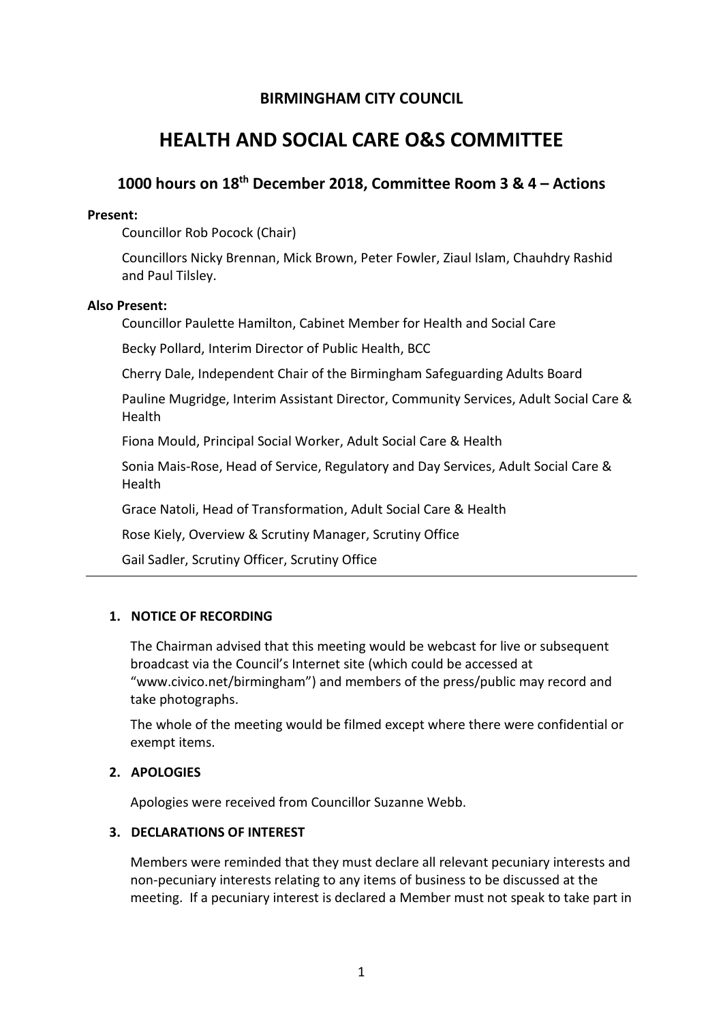# **BIRMINGHAM CITY COUNCIL**

# **HEALTH AND SOCIAL CARE O&S COMMITTEE**

# **1000 hours on 18th December 2018, Committee Room 3 & 4 – Actions**

#### **Present:**

Councillor Rob Pocock (Chair)

Councillors Nicky Brennan, Mick Brown, Peter Fowler, Ziaul Islam, Chauhdry Rashid and Paul Tilsley.

# **Also Present:**

Councillor Paulette Hamilton, Cabinet Member for Health and Social Care

Becky Pollard, Interim Director of Public Health, BCC

Cherry Dale, Independent Chair of the Birmingham Safeguarding Adults Board

Pauline Mugridge, Interim Assistant Director, Community Services, Adult Social Care & Health

Fiona Mould, Principal Social Worker, Adult Social Care & Health

Sonia Mais-Rose, Head of Service, Regulatory and Day Services, Adult Social Care & Health

Grace Natoli, Head of Transformation, Adult Social Care & Health

Rose Kiely, Overview & Scrutiny Manager, Scrutiny Office

Gail Sadler, Scrutiny Officer, Scrutiny Office

# **1. NOTICE OF RECORDING**

The Chairman advised that this meeting would be webcast for live or subsequent broadcast via the Council's Internet site (which could be accessed at "www.civico.net/birmingham") and members of the press/public may record and take photographs.

The whole of the meeting would be filmed except where there were confidential or exempt items.

# **2. APOLOGIES**

Apologies were received from Councillor Suzanne Webb.

# **3. DECLARATIONS OF INTEREST**

Members were reminded that they must declare all relevant pecuniary interests and non-pecuniary interests relating to any items of business to be discussed at the meeting. If a pecuniary interest is declared a Member must not speak to take part in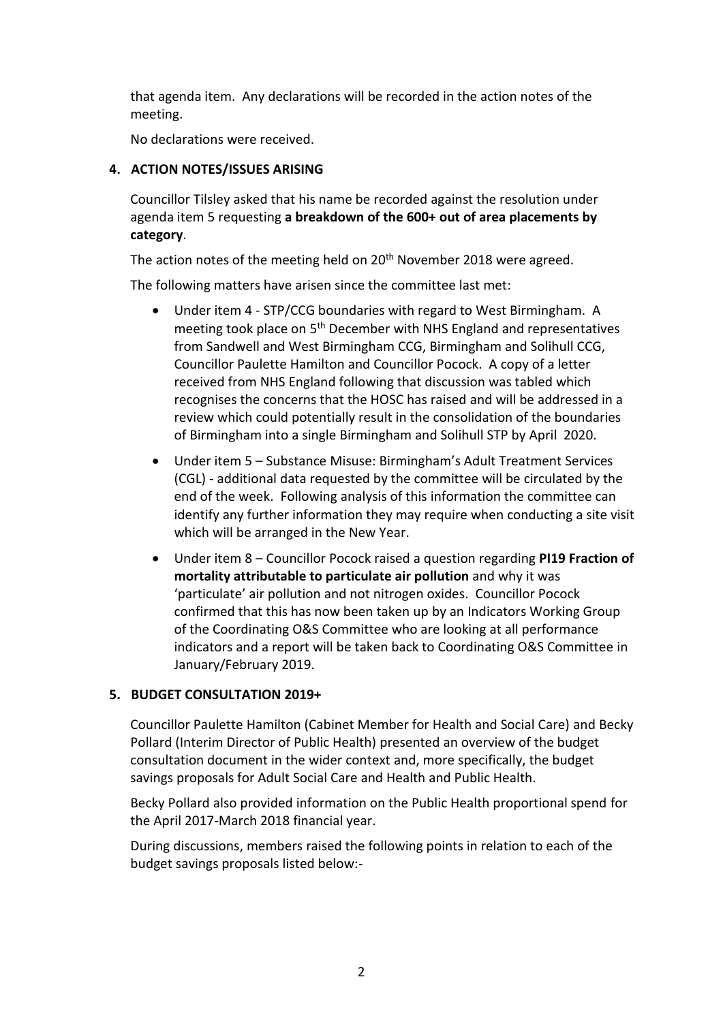that agenda item. Any declarations will be recorded in the action notes of the meeting.

No declarations were received.

# **4. ACTION NOTES/ISSUES ARISING**

Councillor Tilsley asked that his name be recorded against the resolution under agenda item 5 requesting **a breakdown of the 600+ out of area placements by category**.

The action notes of the meeting held on 20<sup>th</sup> November 2018 were agreed.

The following matters have arisen since the committee last met:

- Under item 4 STP/CCG boundaries with regard to West Birmingham. A meeting took place on 5th December with NHS England and representatives from Sandwell and West Birmingham CCG, Birmingham and Solihull CCG, Councillor Paulette Hamilton and Councillor Pocock. A copy of a letter received from NHS England following that discussion was tabled which recognises the concerns that the HOSC has raised and will be addressed in a review which could potentially result in the consolidation of the boundaries of Birmingham into a single Birmingham and Solihull STP by April 2020.
- Under item 5 Substance Misuse: Birmingham's Adult Treatment Services (CGL) - additional data requested by the committee will be circulated by the end of the week. Following analysis of this information the committee can identify any further information they may require when conducting a site visit which will be arranged in the New Year.
- Under item 8 Councillor Pocock raised a question regarding **PI19 Fraction of mortality attributable to particulate air pollution** and why it was 'particulate' air pollution and not nitrogen oxides. Councillor Pocock confirmed that this has now been taken up by an Indicators Working Group of the Coordinating O&S Committee who are looking at all performance indicators and a report will be taken back to Coordinating O&S Committee in January/February 2019.

# **5. BUDGET CONSULTATION 2019+**

Councillor Paulette Hamilton (Cabinet Member for Health and Social Care) and Becky Pollard (Interim Director of Public Health) presented an overview of the budget consultation document in the wider context and, more specifically, the budget savings proposals for Adult Social Care and Health and Public Health.

Becky Pollard also provided information on the Public Health proportional spend for the April 2017-March 2018 financial year.

During discussions, members raised the following points in relation to each of the budget savings proposals listed below:-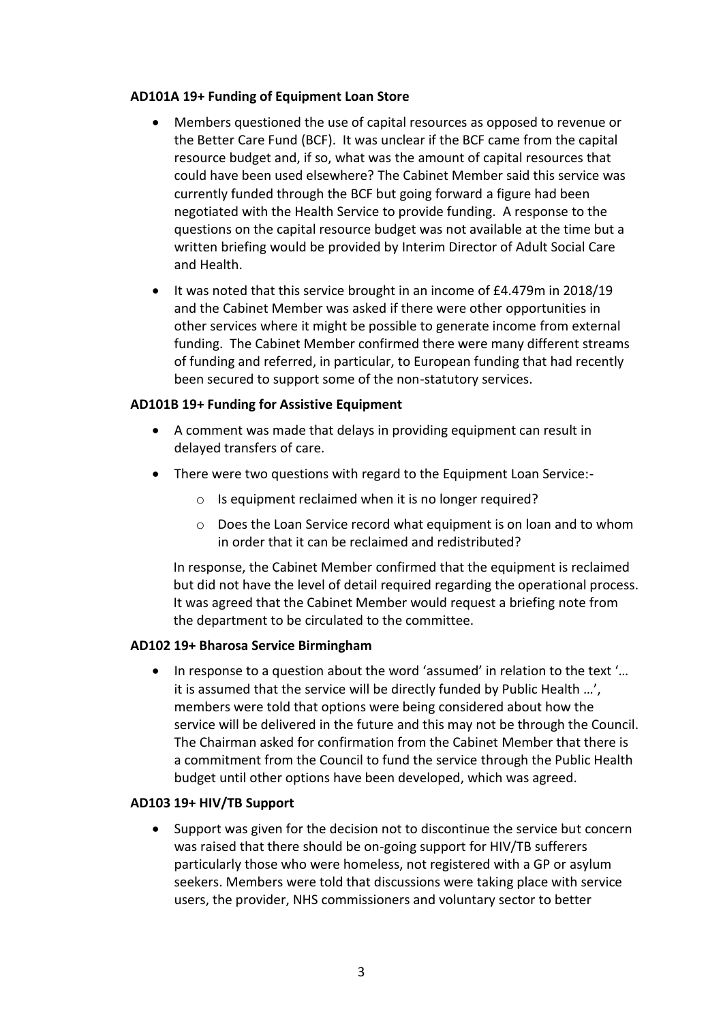#### **AD101A 19+ Funding of Equipment Loan Store**

- Members questioned the use of capital resources as opposed to revenue or the Better Care Fund (BCF). It was unclear if the BCF came from the capital resource budget and, if so, what was the amount of capital resources that could have been used elsewhere? The Cabinet Member said this service was currently funded through the BCF but going forward a figure had been negotiated with the Health Service to provide funding. A response to the questions on the capital resource budget was not available at the time but a written briefing would be provided by Interim Director of Adult Social Care and Health.
- $\bullet$  It was noted that this service brought in an income of £4.479m in 2018/19 and the Cabinet Member was asked if there were other opportunities in other services where it might be possible to generate income from external funding. The Cabinet Member confirmed there were many different streams of funding and referred, in particular, to European funding that had recently been secured to support some of the non-statutory services.

# **AD101B 19+ Funding for Assistive Equipment**

- A comment was made that delays in providing equipment can result in delayed transfers of care.
- There were two questions with regard to the Equipment Loan Service:
	- o Is equipment reclaimed when it is no longer required?
	- o Does the Loan Service record what equipment is on loan and to whom in order that it can be reclaimed and redistributed?

In response, the Cabinet Member confirmed that the equipment is reclaimed but did not have the level of detail required regarding the operational process. It was agreed that the Cabinet Member would request a briefing note from the department to be circulated to the committee.

#### **AD102 19+ Bharosa Service Birmingham**

• In response to a question about the word 'assumed' in relation to the text '... it is assumed that the service will be directly funded by Public Health ...', members were told that options were being considered about how the service will be delivered in the future and this may not be through the Council. The Chairman asked for confirmation from the Cabinet Member that there is a commitment from the Council to fund the service through the Public Health budget until other options have been developed, which was agreed.

#### **AD103 19+ HIV/TB Support**

 Support was given for the decision not to discontinue the service but concern was raised that there should be on-going support for HIV/TB sufferers particularly those who were homeless, not registered with a GP or asylum seekers. Members were told that discussions were taking place with service users, the provider, NHS commissioners and voluntary sector to better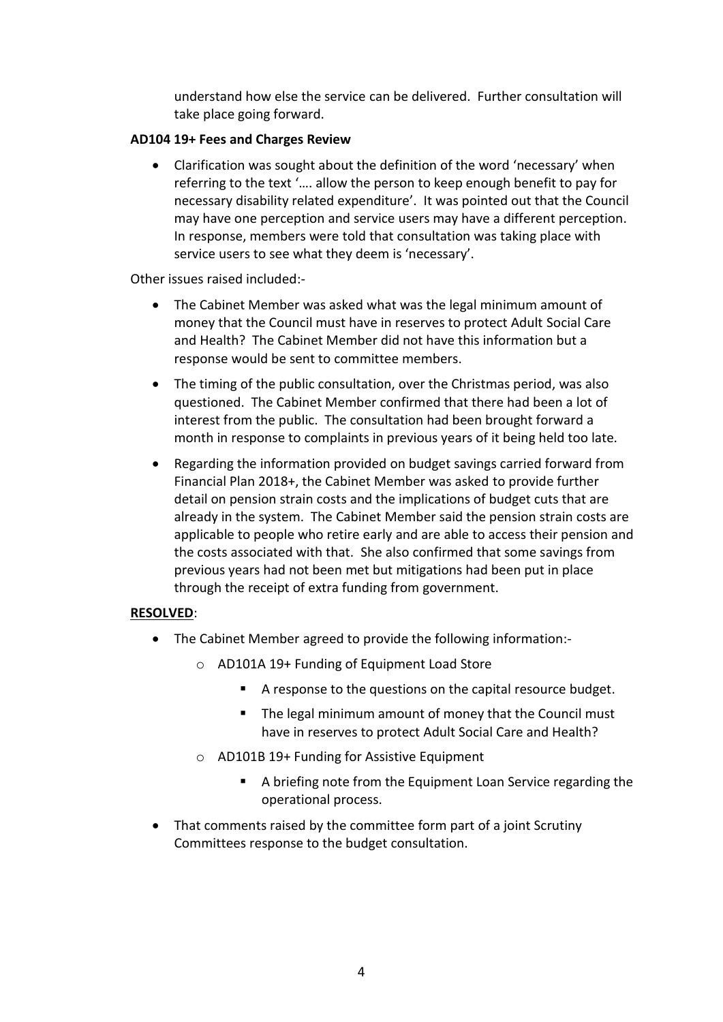understand how else the service can be delivered. Further consultation will take place going forward.

# **AD104 19+ Fees and Charges Review**

• Clarification was sought about the definition of the word 'necessary' when referring to the text '.... allow the person to keep enough benefit to pay for necessary disability related expenditure'. It was pointed out that the Council may have one perception and service users may have a different perception. In response, members were told that consultation was taking place with service users to see what they deem is 'necessary'.

Other issues raised included:-

- The Cabinet Member was asked what was the legal minimum amount of money that the Council must have in reserves to protect Adult Social Care and Health? The Cabinet Member did not have this information but a response would be sent to committee members.
- The timing of the public consultation, over the Christmas period, was also questioned. The Cabinet Member confirmed that there had been a lot of interest from the public. The consultation had been brought forward a month in response to complaints in previous years of it being held too late.
- Regarding the information provided on budget savings carried forward from Financial Plan 2018+, the Cabinet Member was asked to provide further detail on pension strain costs and the implications of budget cuts that are already in the system. The Cabinet Member said the pension strain costs are applicable to people who retire early and are able to access their pension and the costs associated with that. She also confirmed that some savings from previous years had not been met but mitigations had been put in place through the receipt of extra funding from government.

#### **RESOLVED**:

- The Cabinet Member agreed to provide the following information:
	- o AD101A 19+ Funding of Equipment Load Store
		- A response to the questions on the capital resource budget.
		- The legal minimum amount of money that the Council must have in reserves to protect Adult Social Care and Health?
	- o AD101B 19+ Funding for Assistive Equipment
		- A briefing note from the Equipment Loan Service regarding the operational process.
- That comments raised by the committee form part of a joint Scrutiny Committees response to the budget consultation.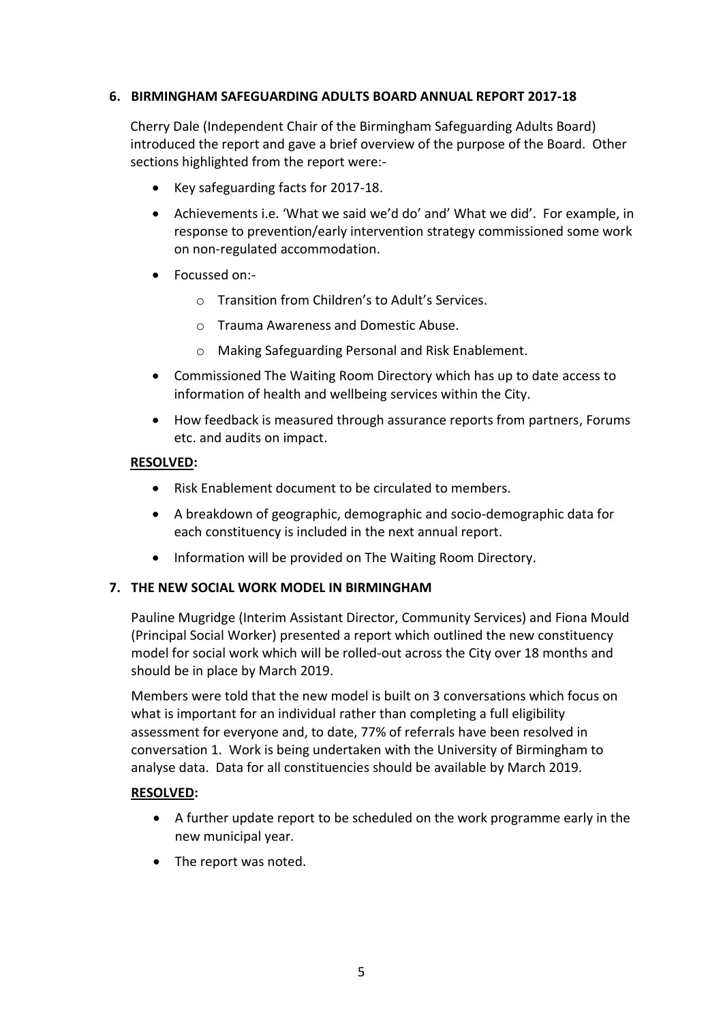# **6. BIRMINGHAM SAFEGUARDING ADULTS BOARD ANNUAL REPORT 2017-18**

Cherry Dale (Independent Chair of the Birmingham Safeguarding Adults Board) introduced the report and gave a brief overview of the purpose of the Board. Other sections highlighted from the report were:-

- Key safeguarding facts for 2017-18.
- Achievements i.e. 'What we said we'd do' and' What we did'. For example, in response to prevention/early intervention strategy commissioned some work on non-regulated accommodation.
- Focussed on:
	- o Transition from Children's to Adult's Services.
	- o Trauma Awareness and Domestic Abuse.
	- o Making Safeguarding Personal and Risk Enablement.
- Commissioned The Waiting Room Directory which has up to date access to information of health and wellbeing services within the City.
- How feedback is measured through assurance reports from partners, Forums etc. and audits on impact.

#### **RESOLVED:**

- Risk Enablement document to be circulated to members.
- A breakdown of geographic, demographic and socio-demographic data for each constituency is included in the next annual report.
- Information will be provided on The Waiting Room Directory.

# **7. THE NEW SOCIAL WORK MODEL IN BIRMINGHAM**

Pauline Mugridge (Interim Assistant Director, Community Services) and Fiona Mould (Principal Social Worker) presented a report which outlined the new constituency model for social work which will be rolled-out across the City over 18 months and should be in place by March 2019.

Members were told that the new model is built on 3 conversations which focus on what is important for an individual rather than completing a full eligibility assessment for everyone and, to date, 77% of referrals have been resolved in conversation 1. Work is being undertaken with the University of Birmingham to analyse data. Data for all constituencies should be available by March 2019.

#### **RESOLVED:**

- A further update report to be scheduled on the work programme early in the new municipal year.
- The report was noted.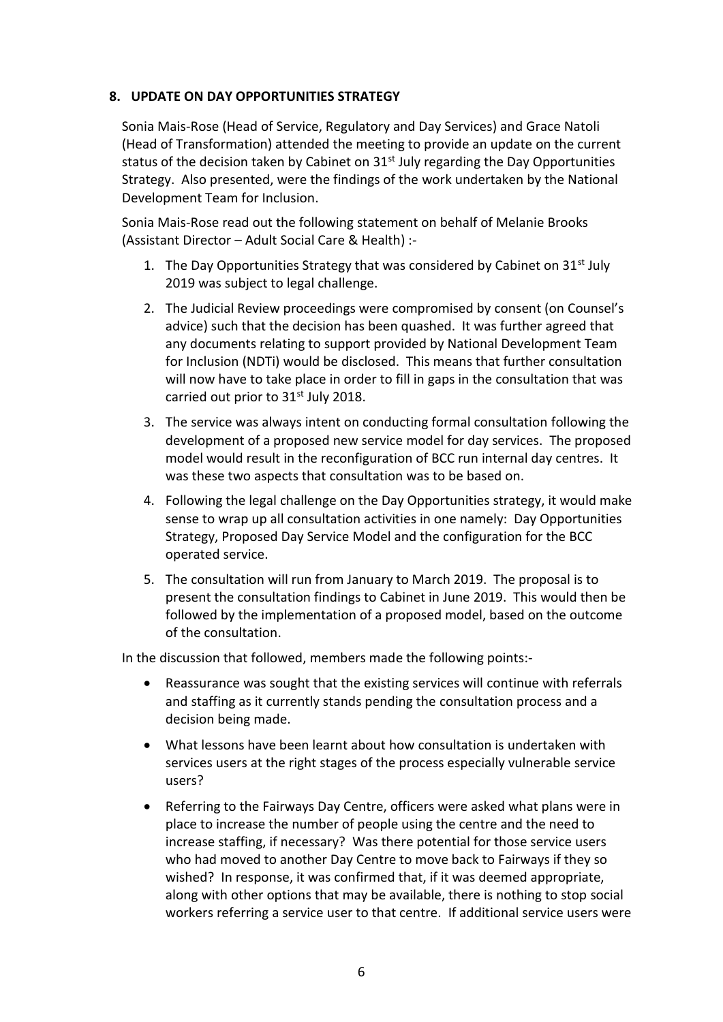# **8. UPDATE ON DAY OPPORTUNITIES STRATEGY**

Sonia Mais-Rose (Head of Service, Regulatory and Day Services) and Grace Natoli (Head of Transformation) attended the meeting to provide an update on the current status of the decision taken by Cabinet on  $31<sup>st</sup>$  July regarding the Day Opportunities Strategy. Also presented, were the findings of the work undertaken by the National Development Team for Inclusion.

Sonia Mais-Rose read out the following statement on behalf of Melanie Brooks (Assistant Director – Adult Social Care & Health) :-

- 1. The Day Opportunities Strategy that was considered by Cabinet on  $31<sup>st</sup>$  July 2019 was subject to legal challenge.
- 2. The Judicial Review proceedings were compromised by consent (on Counsel's advice) such that the decision has been quashed. It was further agreed that any documents relating to support provided by National Development Team for Inclusion (NDTi) would be disclosed. This means that further consultation will now have to take place in order to fill in gaps in the consultation that was carried out prior to 31<sup>st</sup> July 2018.
- 3. The service was always intent on conducting formal consultation following the development of a proposed new service model for day services. The proposed model would result in the reconfiguration of BCC run internal day centres. It was these two aspects that consultation was to be based on.
- 4. Following the legal challenge on the Day Opportunities strategy, it would make sense to wrap up all consultation activities in one namely: Day Opportunities Strategy, Proposed Day Service Model and the configuration for the BCC operated service.
- 5. The consultation will run from January to March 2019. The proposal is to present the consultation findings to Cabinet in June 2019. This would then be followed by the implementation of a proposed model, based on the outcome of the consultation.

In the discussion that followed, members made the following points:-

- Reassurance was sought that the existing services will continue with referrals and staffing as it currently stands pending the consultation process and a decision being made.
- What lessons have been learnt about how consultation is undertaken with services users at the right stages of the process especially vulnerable service users?
- Referring to the Fairways Day Centre, officers were asked what plans were in place to increase the number of people using the centre and the need to increase staffing, if necessary? Was there potential for those service users who had moved to another Day Centre to move back to Fairways if they so wished? In response, it was confirmed that, if it was deemed appropriate, along with other options that may be available, there is nothing to stop social workers referring a service user to that centre. If additional service users were